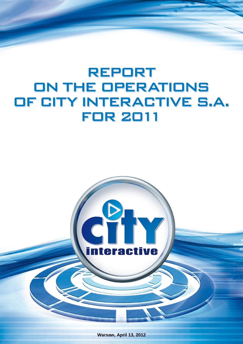# **REPORT** ON THE OPERATIONS OF CITY INTERACTIVE S.A. **FOR 2011**



**Warsaw, April 13, 2012**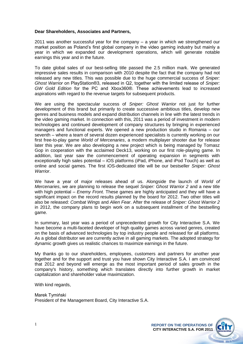#### **Dear Shareholders, Associates and Partners,**

2011 was another successful year for the company – a year in which we strengthened our market position as Poland's first global company in the video gaming industry but mainly a year in which we expanded our development operations, which will generate notable earnings this year and in the future.

To date global sales of our best-selling title passed the 2.5 million mark. We generated impressive sales results in comparison with 2010 despite the fact that the company had not released any new titles. This was possible due to the huge commercial success of *Sniper: Ghost Warrior* on PlayStation®3, released in Q2, together with the limited release of *Sniper: GW Gold Edition* for the PC and Xbox360®. These achievements lead to increased aspirations with regard to the revenue targets for subsequent products.

We are using the spectacular success of *Sniper: Ghost Warrior* not just for further development of this brand but primarily to create successive ambitious titles, develop new genres and business models and expand distribution channels in line with the latest trends in the video gaming market. In connection with this, 2011 was a period of investment in modern technologies and continued development of company structures by bringing in experienced managers and functional experts. We opened a new production studio in Romania – our seventh – where a team of several dozen experienced specialists is currently working on our first free-to-play game *World of Mercenaries*, a modern multiplayer shooter due for release later this year. We are also developing a new project which is being managed by Tomasz Gop in cooperation with the acclaimed Deck13, working on our first role-playing game. In addition, last year saw the commencement of operating expansion in segments with exceptionally high sales potential – iOS platforms (iPad, iPhone, and iPod Touch) as well as online and social games. The first iOS-dedicated title will be our bestseller *Sniper: Ghost Warrior*.

We have a year of major releases ahead of us. Alongside the launch of *World of Mercenaries*, we are planning to release the sequel *Sniper: Ghost Warrior 2* and a new title with high potential – *Enemy Front*. These games are highly anticipated and they will have a significant impact on the record results planned by the board for 2012. Two other titles will also be released: *Combat Wings* and *Alien Fear*. After the release of *Sniper: Ghost Warrior 2* in 2012, the company plans to begin work on a subsequent installment of the bestselling game.

In summary, last year was a period of unprecedented growth for City Interactive S.A. We have become a multi-faceted developer of high quality games across varied genres, created on the basis of advanced technologies by top industry people and released for all platforms. As a global distributor we are currently active in all gaming markets. The adopted strategy for dynamic growth gives us realistic chances to maximize earnings in the future.

My thanks go to our shareholders, employees, customers and partners for another year together and for the support and trust you have shown City Interactive S.A. I am convinced that 2012 and beyond will emerge as the most important period of sales growth in the company's history, something which translates directly into further growth in market capitalization and shareholder value maximization.

With kind regards,

Marek Tymiński President of the Management Board, City Interactive S.A.

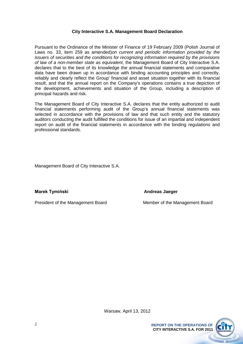#### **City Interactive S.A. Management Board Declaration**

Pursuant to the Ordinance of the Minister of Finance of 19 February 2009 (Polish Journal of Laws no. 33, item 259 as amended)*on current and periodic information provided by the issuers of securities and the conditions for recognizing information required by the provisions of law of a non-member state as equivalent*, the Management Board of City Interactive S.A. declares that to the best of its knowledge the annual financial statements and comparative data have been drawn up in accordance with binding accounting principles and correctly, reliably and clearly reflect the Group' financial and asset situation together with its financial result, and that the annual report on the Company's operations contains a true depiction of the development, achievements and situation of the Group, including a description of principal hazards and risk.

The Management Board of City Interactive S.A. declares that the entity authorized to audit financial statements performing audit of the Group's annual financial statements was selected in accordance with the provisions of law and that such entity and the statutory auditors conducting the audit fulfilled the conditions for issue of an impartial and independent report on audit of the financial statements in accordance with the binding regulations and professional standards.

Management Board of City Interactive S.A.

**Marek Tymiński** Andreas Jaeger

President of the Management Board Member of the Management Board

**CITY INTERACTIVE S.A. FOR 2011**

Warsaw, April 13, 2012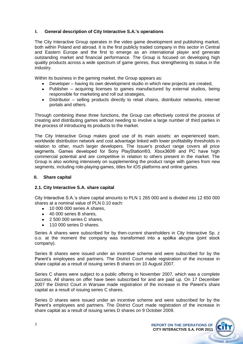## **I. General description of City Interactive S.A.'s operations**

The City Interactive Group operates in the video game development and publishing market, both within Poland and abroad. It is the first publicly traded company in this sector in Central and Eastern Europe and the first to emerge as an international player and generate outstanding market and financial performance. The Group is focused on developing high quality products across a wide spectrum of game genres, thus strengthening its status in the industry.

Within its business in the gaming market, the Group appears as:

- Developer having its own development studio in which new projects are created,
- Publisher acquiring licenses to games manufactured by external studios, being responsible for marketing and roll out strategies,
- Distributor selling products directly to retail chains, distributor networks, internet portals and others.

Through combining these three functions, the Group can effectively control the process of creating and distributing games without needing to involve a large number of third parties in the process of introducing its products to the market.

The City Interactive Group makes good use of its main assets: an experienced team, worldwide distribution network and cost advantage linked with lower profitability thresholds in relation to other, much larger developers. The Issuer's product range covers all price segments. Games developed for Sony PlayStation®3, Xbox360® and PC have high commercial potential and are competitive in relation to others present in the market. The Group is also working intensively on supplementing the product range with games from new segments, including role-playing-games, titles for iOS platforms and online games.

#### **II. Share capital**

#### **2.1. City Interactive S.A. share capital**

City Interactive S.A.'s share capital amounts to PLN 1 265 000 and is divided into 12 650 000 shares at a nominal value of PLN 0.10 each:

- 10 000 000 series A shares,
- 40 000 series B shares,  $\bullet$
- 2 500 000 series C shares,
- 110 000 series D shares.

Series A shares were subscribed for by then-current shareholders in City Interactive Sp. z o.o. at the moment the company was transformed into a spółka akcyjna (joint stock company).

Series B shares were issued under an incentive scheme and were subscribed for by the Parent's employees and partners. The District Court made registration of the increase in share capital as a result of issuing series B shares on 10 August 2007.

Series C shares were subject to a public offering in November 2007, which was a complete success. All shares on offer have been subscribed for and are paid up. On 17 December 2007 the District Court in Warsaw made registration of the increase in the Parent's share capital as a result of issuing series C shares.

Series D shares were issued under an incentive scheme and were subscribed for by the Parent's employees and partners. The District Court made registration of the increase in share capital as a result of issuing series D shares on 9 October 2009.

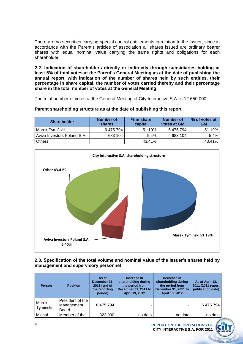There are no securities carrying special control entitlements in relation to the Issuer, since in accordance with the Parent's articles of association all shares issued are ordinary bearer shares with equal nominal value carrying the same rights and obligations for each shareholder.

**2.2. Indication of shareholders directly or indirectly through subsidiaries holding at least 5% of total votes at the Parent's General Meeting as at the date of publishing the annual report, with indication of the number of shares held by such entities, their percentage in share capital, the number of votes carried thereby and their percentage share in the total number of votes at the General Meeting**

The total number of votes at the General Meeting of City Interactive S.A. is 12 650 000.

#### **Parent shareholding structure as at the date of publishing this report**

| <b>Shareholder</b>          | Number of<br><b>shares</b> | % in share<br>capital | <b>Number of</b><br>votes at GM | % of votes at<br><b>GM</b> |
|-----------------------------|----------------------------|-----------------------|---------------------------------|----------------------------|
| Marek Tymiński              | 6 475 794                  | 51.19%                | 6 475 794                       | 51.19%                     |
| Aviva Investors Poland S.A. | 683 104                    | $5.4\%$               | 683 104                         | $5.4\%$                    |
| <b>Others</b>               |                            | 43.41%                |                                 | 43.41%                     |



#### **2.3. Specification of the total volume and nominal value of the Issuer's shares held by management and supervisory personnel**

| <b>Person</b>     | <b>Position</b>                                | As at<br>December 31,<br>2011 (end of<br>the reporting<br>period) | Increase in<br>shareholding during<br>the period from<br>December 31, 2011 to<br>April 13, 2012 | Decrease in<br>shareholding during<br>the period from<br>December 31, 2011 to<br>April 13, 2012 | As at April 13,<br>2011 (2011 report<br>publication date) |
|-------------------|------------------------------------------------|-------------------------------------------------------------------|-------------------------------------------------------------------------------------------------|-------------------------------------------------------------------------------------------------|-----------------------------------------------------------|
| Marek<br>Tymiński | President of the<br>Management<br><b>Board</b> | 6475794                                                           | ۰                                                                                               |                                                                                                 | 6475794                                                   |
| Michał            | Member of the                                  | 322 000                                                           | no data                                                                                         | no data                                                                                         | no data                                                   |

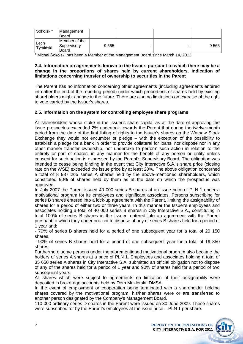| Sokolski*        | Management<br>Board                   |         |  |         |
|------------------|---------------------------------------|---------|--|---------|
| Lech<br>Tymiński | Member of the<br>Supervisory<br>Board | 9 5 6 5 |  | 9 5 6 5 |

\* Michał Sokolski has been a Member of the Management Board since March 14, 2012.

#### **2.4. Information on agreements known to the Issuer, pursuant to which there may be a change in the proportions of shares held by current shareholders. Indication of limitations concerning transfer of ownership to securities in the Parent**

The Parent has no information concerning other agreements (including agreements entered into after the end of the reporting period) under which proportions of shares held by existing shareholders might change in the future. There are also no limitations on exercise of the right to vote carried by the Issuer's shares.

#### **2.5. Information on the system for controlling employee share programs**

All shareholders whose stake in the Issuer's share capital as at the date of approving the issue prospectus exceeded 2% undertook towards the Parent that during the twelve-month period from the date of the first listing of rights to the Issuer's shares on the Warsaw Stock Exchange they would not encumber or pledge – with the exception of the possibility to establish a pledge for a bank in order to provide collateral for loans, nor dispose nor in any other manner transfer ownership, nor undertake to perform such action in relation to the entirety or part of shares, in any manner for the benefit of any person or entity unless consent for such action is expressed by the Parent's Supervisory Board. The obligation was intended to cease being binding in the event that City Interactive S.A.'s share price (closing rate on the WSE) exceeded the issue price by at least 20%. The above obligation concerned a total of 8 987 265 series A shares held by the above-mentioned shareholders, which constituted 90% of shares held by them as at the date on which the prospectus was approved.

In July 2007 the Parent issued 40 000 series B shares at an issue price of PLN 1 under a motivational program for its employees and significant associates. Persons subscribing for series B shares entered into a lock-up agreement with the Parent, limiting the assignability of shares for a period of either two or three years. In this manner the Issuer's employees and associates holding a total of 40 000 series B shares in City Interactive S.A., constituting in total 100% of series B shares in the Issuer, entered into an agreement with the Parent pursuant to which they undertook not to dispose of any of series B shares held for a period of 1 year and:

- 70% of series B shares held for a period of one subsequent year for a total of 20 150 shares,

- 90% of series B shares held for a period of one subsequent year for a total of 19 850 shares,

Furthermore some persons under the aforementioned motivational program also became the holders of series A shares at a price of PLN 1. Employees and associates holding a total of 35 650 series A shares in City Interactive S.A. submitted an official obligation not to dispose of any of the shares held for a period of 1 year and 90% of shares held for a period of two subsequent years.

All shares which were subject to agreements on limitation of their assignability were deposited in brokerage accounts held by Dom Maklerski IDMSA.

In the event of employment or cooperation being terminated with a shareholder holding shares covered by the motivational program, his/her shares were or are transferred to another person designated by the Company's Management Board.

110 000 ordinary series D shares in the Parent were issued on 30 June 2009. These shares were subscribed for by the Parent's employees at the issue price – PLN 1 per share.

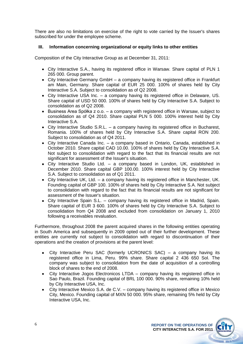There are also no limitations on exercise of the right to vote carried by the Issuer's shares subscribed for under the employee scheme.

#### **III. Information concerning organizational or equity links to other entities**

Composition of the City Interactive Group as at December 31, 2011:

- City Interactive S.A., having its registered office in Warsaw. Share capital of PLN 1 265 000. Group parent.
- City Interactive Germany GmbH a company having its registered office in Frankfurt am Main, Germany. Share capital of EUR 25 000. 100% of shares held by City Interactive S.A. Subject to consolidation as of Q2 2008.
- City Interactive USA Inc. a company having its registered office in Delaware, US. Share capital of USD 50 000. 100% of shares held by City Interactive S.A. Subject to consolidation as of Q2 2008.
- $\bullet$  Business Area Spółka z o.o. a company with registered office in Warsaw, subject to consolidation as of Q4 2010. Share capital PLN 5 000. 100% interest held by City Interactive S.A.
- $\bullet$  City Interactive Studio S.R.L. a company having its registered office in Bucharest, Romania. 100% of shares held by City Interactive S.A. Share capital RON 200. Subject to consolidation as of Q4 2011.
- City Interactive Canada Inc. a company based in Ontario, Canada, established in October 2010. Share capital CAD 10.00. 100% of shares held by City Interactive S.A. Not subject to consolidation with regard to the fact that its financial results are not significant for assessment of the Issuer's situation.
- City Interactive Studio Ltd. a company based in London, UK, established in December 2010. Share capital GBP 100.00. 100% interest held by City Interactive S.A. Subject to consolidation as of Q1 2011.
- City Interactive UK, Ltd. a company having its registered office in Manchester, UK. Founding capital of GBP 100. 100% of shares held by City Interactive S.A. Not subject to consolidation with regard to the fact that its financial results are not significant for assessment of the Issuer's situation.
- City Interactive Spain S.L. company having its registered office in Madrid, Spain. Share capital of EUR 3 600. 100% of shares held by City Interactive S.A. Subject to consolidation from Q4 2008 and excluded from consolidation on January 1, 2010 following a receivables revaluation.

Furthermore, throughout 2008 the parent acquired shares in the following entities operating in South America and subsequently in 2009 opted out of their further development. These entities are currently not subject to consolidation with regard to discontinuation of their operations and the creation of provisions at the parent level:

- City Interactive Peru SAC (formerly UCRONICS SAC) a company having its  $\bullet$ registered office in Lima, Peru. 99% share. Share capital 2 436 650 Sol. The company was subject to consolidation from the date of acquisition of a controlling block of shares to the end of 2008.
- City Interactive Jogos Electronicos LTDA company having its registered office in Sao Paulo, Brazil. Founding capital of BRL 100 000. 90% share, remaining 10% held by City Interactive USA, Inc.
- City Interactive Mexico S.A. de C.V. company having its registered office in Mexico City, Mexico. Founding capital of MXN 50 000. 95% share, remaining 5% held by City Interactive USA, Inc.

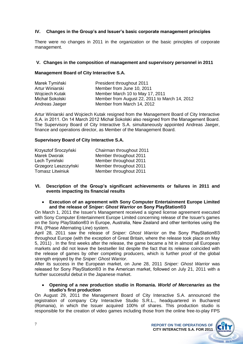# **IV. Changes in the Group's and Issuer's basic corporate management principles**

There were no changes in 2011 in the organization or the basic principles of corporate management.

#### **V. Changes in the composition of management and supervisory personnel in 2011**

#### **Management Board of City Interactive S.A.**

| Marek Tymiński  | President throughout 2011                     |
|-----------------|-----------------------------------------------|
| Artur Winiarski | Member from June 10, 2011                     |
| Wojciech Kutak  | Member March 10 to May 17, 2011               |
| Michał Sokolski | Member from August 22, 2011 to March 14, 2012 |
| Andreas Jaeger  | Member from March 14, 2012                    |

Artur Winiarski and Wojciech Kutak resigned from the Management Board of City Interactive S.A. in 2011. On 14 March 2012 Michał Sokolski also resigned from the Management Board. The Supervisory Board of City Interactive S.A. simultaneously appointed Andreas Jaeger, finance and operations director, as Member of the Management Board.

#### **Supervisory Board of City Interactive S.A.**

| Krzysztof Sroczyński    | Chairman throughout 2011 |
|-------------------------|--------------------------|
| <b>Marek Dworak</b>     | Member throughout 2011   |
| Lech Tymiński           | Member throughout 2011   |
| Grzegorz Leszczyński    | Member throughout 2011   |
| <b>Tomasz Litwiniuk</b> | Member throughout 2011   |

#### **VI. Description of the Group's significant achievements or failures in 2011 and events impacting its financial results**

**Execution of an agreement with Sony Computer Entertainment Europe Limited and the release of** *Sniper: Ghost Warrior* **on Sony PlayStation®3**

On March 1, 2011 the Issuer's Management received a signed license agreement executed with Sony Computer Entertainment Europe Limited concerning release of the Issuer's games on the Sony PlayStation®3 in Europe, Australia, New Zealand and other territories using the PAL (Phase Alternating Line) system.

April 28, 2011 saw the release of *Sniper: Ghost Warrior* on the Sony PlayStation®3 throughout Europe (with the exception of Great Britain, where the release took place on May 5, 2011) . In the first weeks after the release, the game became a hit in almost all European markets and did not leave the bestseller list despite the fact that its release coincided with the release of games by other competing producers, which is further proof of the global strength enjoyed by the *Sniper: Ghost Warrior*.

After its success in the European market, on June 28, 2011 *Sniper: Ghost Warrior* was released for Sony PlayStation®3 in the American market, followed on July 21, 2011 with a further successful debut in the Japanese market.

#### $\bullet$ **Opening of a new production studio in Romania.** *World of Mercenaries* **as the studio's first production**

On August 29, 2011 the Management Board of City Interactive S.A. announced the registration of company City Interactive Studio S.R.L., headquartered in Bucharest (Romania), in which the Issuer acquired 100% of shares. This production studio is responsible for the creation of video games including those from the online free-to-play FPS

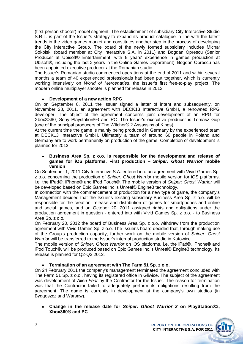(first person shooter) model segment. The establishment of subsidiary City Interactive Studio S.R.L. is part of the Issuer's strategy to expand its product catalogue in line with the latest trends in the video games market and constitutes another step in the process of developing the City Interactive Group. The board of the newly formed subsidiary includes Michał Sokolski (board member at City Interactive S.A. in 2011) and Bogdan Oprescu (Senior Producer at Ubisoft® Entertainment, with 8 years' experience in games production at Ubisoft®, including the last 3 years in the Online Games Department). Bogdan Oprescu has been appointed executive producer at the Romanian studio.

The Issuer's Romanian studio commenced operations at the end of 2011 and within several months a team of 40 experienced professionals had been put together, which is currently working intensively on *World of Mercenaries*, the Issuer's first free-to-play project. The modern online multiplayer shooter is planned for release in 2013.

#### **Development of a new action RPG**

On on September 8, 2011 the Issuer signed a letter of intent and subsequently, on November 28, 2011, an agreement with DECK13 Interactive GmbH, a renowned RPG developer. The object of the agreement concerns joint development of an RPG for Xbox®360, Sony Playstation®3 and PC. The Issuer's executive producer is Tomasz Gop (one of the principal producers of The Witcher® 2 Assassins of Kings).

At the current time the game is mainly being produced in Germany by the experienced team at DECK13 Interactive GmbH. Ultimately a team of around 60 people in Poland and Germany are to work permanently on production of the game. Completion of development is planned for 2013.

#### **Business Area Sp. z o.o. is responsible for the development and release of games for iOS platforms. First production –** *Sniper: Ghost Warrior* **mobile version**

On September 1, 2011 City Interactive S.A. entered into an agreement with Vivid Games Sp. z o.o. concerning the production of *Sniper: Ghost Warrior* mobile version for iOS platforms, i.e. the iPad®, iPhone® and iPod Touch®. The mobile version of *Sniper: Ghost Warrior* will be developed based on Epic Games Inc.'s Unreal® Engine3 technology.

In connection with the commencement of production for a new type of game, the company's Management decided that the Issuer's existing subsidiary Business Area Sp. z o.o. will be responsible for the creation, release and distribution of games for smartphones and online and social games, and on October 20, 2011 assigned rights and obligations under the production agreement in question - entered into with Vivid Games Sp. z o.o. - to Business Area Sp. z o.o.

On February 20, 2012 the board of Business Area Sp. z o.o. withdrew from the production agreement with Vivid Games Sp. z o.o. The Issuer's board decided that, through making use of the Group's production capacity, further work on the mobile version of *Sniper: Ghost Warrior* will be transferred to the Issuer's internal production studio in Katowice.

The mobile version of *Sniper: Ghost Warrior* on iOS platforms, i.e. the iPad®, iPhone® and iPod Touch®, will be produced based on Epic Games Inc.'s Unreal® Engine3 technology. Its release is planned for Q2-Q3 2012.

#### **Termination of an agreement with The Farm 51 Sp. z o.o.**

On 24 February 2011 the company's management terminated the agreement concluded with The Farm 51 Sp. z o.o., having its registered office in Gliwice. The subject of the agreement was development of *Alien Fear* by the Contractor for the Issuer. The reason for termination was that the Contractor failed to adequately perform its obligations resulting from the agreement. The game is currently in development at the company's own studios (in Bydgoszcz and Warsaw).

**Change in the release date for** *Sniper: Ghost Warrior 2* **on PlayStation®3, Xbox360® and PC**

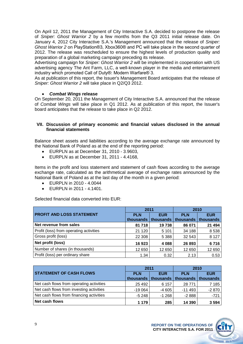On April 12, 2011 the Management of City Interactive S.A. decided to postpone the release of *Sniper: Ghost Warrior 2* by a few months from the Q3 2011 initial release date. On January 4, 2012 City Interactive S.A.'s Management announced that the release of *Sniper: Ghost Warrior 2* on PlayStation®3, Xbox360® and PC will take place in the second quarter of 2012. The release was rescheduled to ensure the highest levels of production quality and preparation of a global marketing campaign preceding its release.

Advertising campaign for *Sniper: Ghost Warrior 2* will be implemented in cooperation with US advertising agency The Ant Farm, LLC, a well-known player in the media and entertainment industry which promoted Call of Duty®: Modern Warfare® 3.

As at publication of this report, the Issuer's Management Board anticipates that the release of *Sniper: Ghost Warrior 2* will take place in Q2/Q3 2012.

#### *Combat Wings* **release**

On September 20, 2011 the Management of City Interactive S.A. announced that the release of *Combat Wings* will take place in Q1 2012. As at publication of this report, the Issuer's board anticipates that the release to take place in Q2 2012.

#### **VII. Discussion of primary economic and financial values disclosed in the annual financial statements**

Balance sheet assets and liabilities according to the average exchange rate announced by the National Bank of Poland as at the end of the reporting period:

- EURPLN as at December 31, 2010 3.9603,
- EURPLN as at December 31, 2011 4.4168,

Items in the profit and loss statement and statement of cash flows according to the average exchange rate, calculated as the arithmetical average of exchange rates announced by the National Bank of Poland as at the last day of the month in a given period:

- EURPLN in 2010 4.0044
- EURPLN in 2011 4.1401.

Selected financial data converted into EUR:

|                                         | 2011       |            | 2010       |            |
|-----------------------------------------|------------|------------|------------|------------|
| <b>PROFIT AND LOSS STATEMENT</b>        | <b>PLN</b> | <b>EUR</b> | <b>PLN</b> | <b>EUR</b> |
|                                         | thousands  | thousands  | thousands  | thousands  |
| Net revenue from sales                  | 81 718     | 19738      | 86 071     | 21 4 94    |
| Profit (loss) from operating activities | 21 1 20    | 5 1 0 1    | 34 188     | 8538       |
| Gross profit (loss)                     | 22 308     | 5 3 8 8    | 32 543     | 8 1 2 7    |
| Net profit (loss)                       | 16923      | 4 0 8 8    | 26 893     | 6716       |
| Number of shares (in thousands)         | 12 650     | 12 650     | 12 650     | 12 650     |
| Profit (loss) per ordinary share        | 1.34       | 0.32       | 2.13       | 0.53       |

|                                          | 2011       |            | 2010                                                        |            |
|------------------------------------------|------------|------------|-------------------------------------------------------------|------------|
| <b>STATEMENT OF CASH FLOWS</b>           | <b>PLN</b> | <b>EUR</b> | <b>PLN</b><br>thousands   thousands   thousands   thousands | <b>EUR</b> |
| Net cash flows from operating activities | 25 4 9 2   | 6 157      | 28 771                                                      | 7 1 8 5    |
| Net cash flows from investing activities | $-19064$   | $-4605$    | $-11493$                                                    | $-2870$    |
| Net cash flows from financing activities | $-5248$    | $-1268$    | $-2888$                                                     | $-721$     |
| Net cash flows                           | 1 1 7 9    | 285        | 14 390                                                      | 3 5 9 4    |



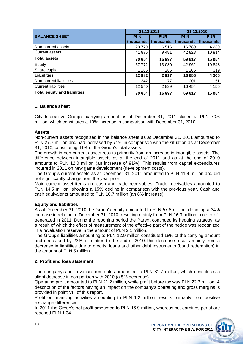|                                     | 31.12.2011 |            | 31.12.2010 |            |
|-------------------------------------|------------|------------|------------|------------|
| <b>BALANCE SHEET</b>                | <b>PLN</b> | <b>EUR</b> | <b>PLN</b> | <b>EUR</b> |
|                                     | thousands  | thousands  | thousands  | thousands  |
| Non-current assets                  | 28 7 79    | 6516       | 16789      | 4 2 3 9    |
| <b>Current assets</b>               | 41 875     | 9481       | 42 828     | 10814      |
| <b>Total assets</b>                 | 70 654     | 15 997     | 59 617     | 15 0 54    |
| Equity                              | 57 772     | 13 080     | 42 962     | 10848      |
| Share capital                       | 1 2 6 5    | 286        | 1 2 6 5    | 319        |
| <b>Liabilities</b>                  | 12 8 82    | 2917       | 16 656     | 4 2 0 6    |
| Non-current liabilities             | 342        | 77         | 201        | 51         |
| <b>Current liabilities</b>          | 12 540     | 2839       | 16 454     | 4 1 5 5    |
| <b>Total equity and liabilities</b> | 70 654     | 15 997     | 59 617     | 15 0 54    |

#### **1. Balance sheet**

City Interactive Group's carrying amount as at December 31, 2011 closed at PLN 70.6 million, which constitutes a 19% increase in comparison with December 31, 2010.

#### **Assets**

Non-current assets recognized in the balance sheet as at December 31, 2011 amounted to PLN 27.7 million and had increased by 71% in comparison with the situation as at December 31, 2010, constituting 41% of the Group's total assets.

The growth in non-current assets results primarily from an increase in intangible assets. The difference between intangible assets as at the end of 2011 and as at the end of 2010 amounts to PLN 12.0 million (an increase of 91%). This results from capital expenditures incurred in 2011 on new game development (development costs).

The Group's current assets as at December 31, 2011 amounted to PLN 41.9 million and did not significantly change from the year prior.

Main current asset items are cash and trade receivables. Trade receivables amounted to PLN 14.5 million, showing a 15% decline in comparison with the previous year. Cash and cash equivalents amounted to PLN 16.7 million (an 8% increase).

#### **Equity and liabilities**

As at December 31, 2010 the Group's equity amounted to PLN 57.8 million, denoting a 34% increase in relation to December 31, 2010, resulting mainly from PLN 16.9 million in net profit generated in 2011. During the reporting period the Parent continued its hedging strategy, as a result of which the effect of measurement of the effective part of the hedge was recognized in a revaluation reserve in the amount of PLN 2.1 million.

The Group's liabilities amounting to PLN 12.9 million constituted 18% of the carrying amount and decreased by 23% in relation to the end of 2010.This decrease results mainly from a decrease in liabilities due to credits, loans and other debt instruments (bond redemption) in the amount of PLN 5 million.

## **2. Profit and loss statement**

The company's net revenue from sales amounted to PLN 81.7 million, which constitutes a slight decrease in comparison with 2010 (a 5% decrease).

Operating profit amounted to PLN 21.2 million, while profit before tax was PLN 22.3 million. A description of the factors having an impact on the company's operating and gross margins is provided in point VIII of this report.

Profit on financing activities amounting to PLN 1.2 million, results primarily from positive exchange differences.

In 2011 the Group's net profit amounted to PLN 16.9 million, whereas net earnings per share reached PLN 1.34.

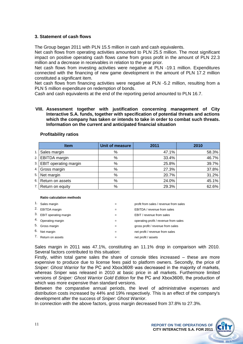#### **3. Statement of cash flows**

The Group began 2011 with PLN 15.5 million in cash and cash equivalents.

Net cash flows from operating activities amounted to PLN 25.5 million. The most significant impact on positive operating cash flows came from gross profit in the amount of PLN 22.3 million and a decrease in receivables in relation to the year prior.

Net cash flows from investing activities were negative at PLN -19.1 million. Expenditures connected with the financing of new game development in the amount of PLN 17.2 million constituted a significant item.

Net cash flows from financing activities were negative at PLN -5.2 million, resulting from a PLN 5 million expenditure on redemption of bonds.

Cash and cash equivalents at the end of the reporting period amounted to PLN 16.7.

#### **VIII. Assessment together with justification concerning management of City Interactive S.A. funds, together with specification of potential threats and actions which the company has taken or intends to take in order to combat such threats. Information on the current and anticipated financial situation**

# **Item Unit of measure 2011 2010** 1. Sales margin 1. Sales margin 1. Sales margin 1. Sales margin 1. Sales margin 1. Sales margin 1. Sales 1. Sa 2. **EBITDA margin 12. COMPUTE 12. COMPUTE 12. COMPUTE 12. A 46.7%** 46.7% 3. EBIT operating margin % 25.8% 39.7% 4. Gross margin % 27.3% 37.8% 5. Net margin 1. 20.7% 20.7% 31.2% 6. Return on assets % 24.0% 45.1% 7. Return on equity % 29.3% 62.6%

#### **Profitability ratios**

#### **Ratio calculation methods**

|    | Sales margin          | $=$ | profit from sales / revenue from sales |
|----|-----------------------|-----|----------------------------------------|
| 2. | <b>EBITDA</b> margin  |     | EBITDA / revenue from sales            |
| 3. | EBIT operating margin | $=$ | EBIT / revenue from sales              |
|    | 4. Operating margin   | $=$ | operating profit / revenue from sales  |
| 5. | Gross margin          | $=$ | gross profit / revenue from sales      |
| 6. | Net margin            | $=$ | net profit / revenue from sales        |
|    | Return on assets      |     | net profit / assets                    |

Sales margin in 2011 was 47.1%, constituting an 11.1% drop in comparison with 2010. Several factors contributed to this situation:

Firstly, within total game sales the share of console titles increased – these are more expensive to produce due to license fees paid to platform owners. Secondly, the price of *Sniper: Ghost Warrior* for the PC and Xbox360® was decreased in the majority of markets, whereas Sniper was released in 2010 at basic price in all markets. Furthermore limited versions of *Sniper: Ghost Warrior Gold Edition* for the PC and Xbox360®, the production of which was more expensive than standard versions.

Between the comparative annual periods, the level of administrative expenses and distribution costs increased by 44% and 19% respectively. This is an effect of the company's development after the success of *Sniper: Ghost Warrior*.

In connection with the above factors, gross margin decreased from 37.8% to 27.3%.

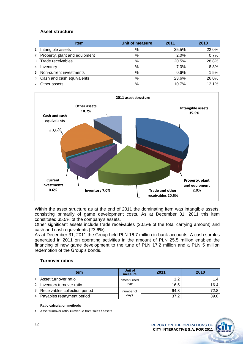#### **Asset structure**

|      | <b>Item</b>                   | Unit of measure | 2011  | 2010  |
|------|-------------------------------|-----------------|-------|-------|
| 1.1  | Intangible assets             | %               | 35.5% | 22.0% |
| 2.1  | Property, plant and equipment | %               | 2.0%  | 0.7%  |
|      | 3. Trade receivables          | %               | 20.5% | 28.8% |
| 4.1  | Inventory                     | %               | 7.0%  | 8.8%  |
|      | 5. Non-current investments    | %               | 0.6%  | 1.5%  |
| 6.1  | Cash and cash equivalents     | %               | 23.6% | 26.0% |
| 7. I | Other assets                  | %               | 10.7% | 12.1% |



Within the asset structure as at the end of 2011 the dominating item was intangible assets, consisting primarily of game development costs. As at December 31, 2011 this item constituted 35.5% of the company's assets.

Other significant assets include trade receivables (20.5% of the total carrying amount) and cash and cash equivalents (23.6%).

As at December 31, 2011 the Group held PLN 16.7 million in bank accounts. A cash surplus generated in 2011 on operating activities in the amount of PLN 25.5 million enabled the financing of new game development to the tune of PLN 17.2 million and a PLN 5 million redemption of the Group's bonds.

#### **Turnover ratios**

| <b>Item</b>                      | Unit of<br>measure | 2011 | 2010 |
|----------------------------------|--------------------|------|------|
| 1. Asset turnover ratio          | times turned       | 1.2  |      |
| 2. Inventory turnover ratio      | over               | 16.5 | 16.4 |
| 3. Receivables collection period | number of          | 64.8 | 72.8 |
| 4. Payables repayment period     | days               | 37.2 | 39.0 |

#### **Ratio calculation methods**

1. Asset turnover ratio **=** revenue from sales / assets

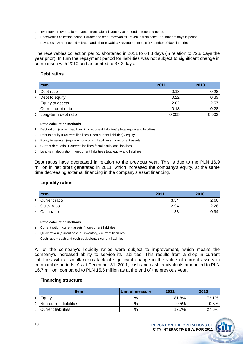- 2. Inventory turnover ratio **=** revenue from sales / inventory at the end of reporting period
- 3. Receivables collection period **= (**trade and other receivables / revenue from sales**)** \* number of days in period
- 4. Payables payment period **= (**trade and other payables / revenue from sales**)** \* number of days in period

The receivables collection period shortened in 2011 to 64.8 days (in relation to 72.8 days the year prior). In turn the repayment period for liabilities was not subject to significant change in comparison with 2010 and amounted to 37.2 days.

#### **Debt ratios**

| <b>Item</b>             | 2011  | 2010  |
|-------------------------|-------|-------|
| 1. Debt ratio           | 0.18  | 0.28  |
| 2. Debt to equity       | 0.22  | 0.39  |
| 3. Equity to assets     | 2.02  | 2.57  |
| 4. Current debt ratio   | 0.18  | 0.28  |
| 5. Long-term debt ratio | 0.005 | 0.003 |

#### **Ratio calculation methods**

- 1. Debt ratio **= (**current liabilities **+** non-current liabilities**) /** total equity and liabilities
- 2. Debt to equity **= (**current liabilities **+** non-current liabilities**) /** equity
- 3. Equity to assets**= (**equity **+** non-current liabilities**) /** non-current assets
- 4. Current debt ratio **=** current liabilities **/** total equity and liabilities
- 5. Long-term debt ratio **=** non-current liabilities **/** total equity and liabilities

Debt ratios have decreased in relation to the previous year. This is due to the PLN 16.9 million in net profit generated in 2011, which increased the company's equity, at the same time decreasing external financing in the company's asset financing.

#### **Liquidity ratios**

| <b>Item</b>      | 2011 | 2010 |
|------------------|------|------|
| 1. Current ratio | 3.34 | 2.60 |
| 2. Quick ratio   | 2.94 | 2.28 |
| 3. Cash ratio    | 1.33 | 0.94 |

#### **Ratio calculation methods**

- 1. Current ratio **=** current assets **/** non-current liabilities
- 2. Quick ratio **= (**current assets inventory**) /** current liabilities
- 3. Cash ratio **=** cash and cash equivalents **/** current liabilities

All of the company's liquidity ratios were subject to improvement, which means the company's increased ability to service its liabilities. This results from a drop in current liabilities with a simultaneous lack of significant change in the value of current assets in comparable periods. As at December 31, 2011, cash and cash equivalents amounted to PLN 16.7 million, compared to PLN 15.5 million as at the end of the previous year.

#### **Financing structure**

| <b>Item</b>                | Unit of measure | 2011  | 2010  |
|----------------------------|-----------------|-------|-------|
| Equity                     | %               | 81.8% | 72.1% |
| 2. Non-current liabilities | %               | 0.5%  | 0.3%  |
| 3. Current liabilities     | %               | 17.7% | 27.6% |

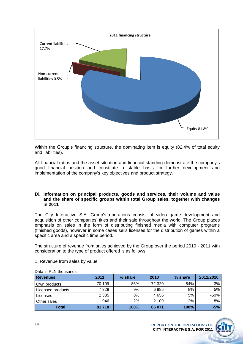

Within the Group's financing structure, the dominating item is equity (82.4% of total equity and liabilities).

All financial ratios and the asset situation and financial standing demonstrate the company's good financial position and constitute a stable basis for further development and implementation of the company's key objectives and product strategy.

#### **IX. Information on principal products, goods and services, their volume and value and the share of specific groups within total Group sales, together with changes in 2011**

The City Interactive S.A. Group's operations consist of video game development and acquisition of other companies' titles and their sale throughout the world. The Group places emphasis on sales in the form of distributing finished media with computer programs (finished goods), however in some cases sells licenses for the distribution of games within a specific area and a specific time period.

The structure of revenue from sales achieved by the Group over the period 2010 - 2011 with consideration to the type of product offered is as follows:

#### 1. Revenue from sales by value

| <b>Revenues</b>   | 2011    | % share | 2010    | % share | 2011/2010 |
|-------------------|---------|---------|---------|---------|-----------|
| Own products      | 70 109  | 86%     | 72 320  | 84%     | $-3%$     |
| Licensed products | 7 3 2 9 | 9%      | 6985    | 8%      | 5%        |
| Licenses          | 2 3 3 5 | 3%      | 4656    | 5%      | $-50%$    |
| Other sales       | 1946    | 2%      | 2 1 0 9 | 2%      | $-8%$     |
| <b>Total</b>      | 81 718  | 100%    | 86 071  | 100%    | $-5%$     |

Data in PLN thousands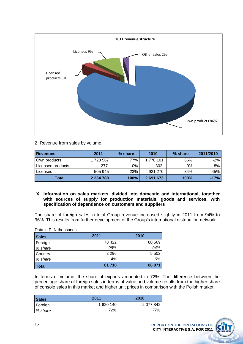

## 2. Revenue from sales by volume

| <b>Revenues</b>   | 2011          | % share     | 2010      | % share | 2011/2010 |
|-------------------|---------------|-------------|-----------|---------|-----------|
| Own products      | 1728 567      | 77%         | 1 770 101 | 66%     | $-2\%$    |
| Licensed products | 277           | 0%          | 302       | 0%      | -8%       |
| Licenses          | 505 945       | 23%         | 921 270   | 34%     | -45%      |
| <b>Total</b>      | 2 2 3 4 7 8 9 | <b>100%</b> | 2 691 673 | 100%    | $-17%$    |

**X. Information on sales markets, divided into domestic and international, together with sources of supply for production materials, goods and services, with specification of dependence on customers and suppliers**

The share of foreign sales in total Group revenue increased slightly in 2011 from 94% to 96%. This results from further development of the Group's international distribution network.

Data in PLN thousands

| <b>Sales</b> | 2011    | 2010    |
|--------------|---------|---------|
| Foreign      | 78 422  | 80 569  |
| % share      | 96%     | 94%     |
| Country      | 3 2 9 6 | 5 5 0 2 |
| % share      | 4%      | 6%      |
| Total        | 81718   | 86 071  |

In terms of volume, the share of exports amounted to 72%. The difference between the percentage share of foreign sales in terms of value and volume results from the higher share of console sales in this market and higher unit prices in comparison with the Polish market.

| <b>Sales</b> | 2011      | 2010      |
|--------------|-----------|-----------|
| Foreign      | 1 620 140 | 2 077 842 |
| % share      | 72%       | 77%       |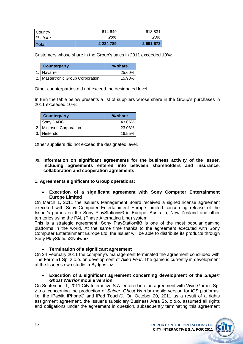| l Total   | 2 2 3 4 7 8 9 | 2 691 673 |
|-----------|---------------|-----------|
| l % share | 28%           | 23%       |
| Country   | 614 649       | 613831    |

Customers whose share in the Group's sales in 2011 exceeded 10%:

| <b>Counterparty</b>                 | % share |
|-------------------------------------|---------|
| 1. Navarre                          | 25.60%  |
| 2.   Mastertronic Group Corporation | 15.98%  |

Other counterparties did not exceed the designated level.

In turn the table below presents a list of suppliers whose share in the Group's purchases in 2011 exceeded 10%:

| <b>Counterparty</b>      | % share |
|--------------------------|---------|
| 1. Sony DADC             | 43.06%  |
| 2. Microsoft Corporation | 23.03%  |
| 3. Nintendo              | 16.55%  |

Other suppliers did not exceed the designated level.

**XI. Information on significant agreements for the business activity of the Issuer, including agreements entered into between shareholders and insurance, collaboration and cooperation agreements**

## **1. Agreements significant to Group operations:**

**Execution of a significant agreement with Sony Computer Entertainment Europe Limited**

On March 1, 2011 the Issuer's Management Board received a signed license agreement executed with Sony Computer Entertainment Europe Limited concerning release of the Issuer's games on the Sony PlayStation®3 in Europe, Australia, New Zealand and other territories using the PAL (Phase Alternating Line) system.

This is a strategic agreement. Sony PlayStation®3 is one of the most popular gaming platforms in the world. At the same time thanks to the agreement executed with Sony Computer Entertainment Europe Ltd, the Issuer will be able to distribute its products through Sony PlayStation®Network.

**Termination of a significant agreement** 

On 24 February 2011 the company's management terminated the agreement concluded with The Farm 51 Sp. z o.o. on development of *Alien Fear*. The game is currently in development at the Issuer's own studio in Bydgoszcz.

#### **Execution of a significant agreement concerning development of the** *Sniper: Ghost Warrior* **mobile version**

On September 1, 2011 City Interactive S.A. entered into an agreement with Vivid Games Sp. z o.o. concerning the production of *Sniper: Ghost Warrior* mobile version for iOS platforms, i.e. the iPad®, iPhone® and iPod Touch®. On October 20, 2011 as a result of a rights assignment agreement, the Issuer's subsidiary Business Area Sp. z o.o. assumed all rights and obligations under the agreement in question, subsequently terminating this agreement

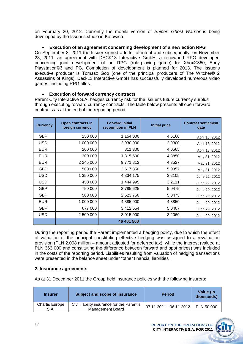on February 20, 2012. Currently the mobile version of *Sniper: Ghost Warrior* is being developed by the Issuer's studio in Katowice.

#### **Execution of an agreement concerning development of a new action RPG**  $\bullet$

On September 8, 2011 the Issuer signed a letter of intent and subsequently, on November 28, 2011, an agreement with DECK13 Interactive GmbH, a renowned RPG developer, concerning joint development of an RPG (role-playing game) for Xbox®360, Sony Playstation®3 and PC. Completion of development is planned for 2013. The Issuer's executive producer is Tomasz Gop (one of the principal producers of The Witcher® 2 Assassins of Kings). Deck13 Interactive GmbH has successfully developed numerous video games, including RPG titles.

#### **Execution of forward currency contracts**   $\bullet$

Parent City Interactive S.A. hedges currency risk for the Issuer's future currency surplus through executing forward currency contracts. The table below presents all open forward contracts as at the end of the reporting period

| <b>Currency</b> | Open contracts in<br>foreign currency | <b>Forward initial</b><br>recognition in PLN | <b>Initial price</b> | <b>Contract settlement</b><br>date |
|-----------------|---------------------------------------|----------------------------------------------|----------------------|------------------------------------|
| <b>GBP</b>      | 250 000                               | 1 154 000                                    | 4.6160               | April 13, 2012                     |
| <b>USD</b>      | 1 000 000                             | 2 930 000                                    | 2.9300               | April 13, 2012                     |
| <b>EUR</b>      | 200 000                               | 811 300                                      | 4.0565               | April 13, 2012                     |
| <b>EUR</b>      | 300 000                               | 1 315 500                                    | 4.3850               | May 31, 2012                       |
| <b>EUR</b>      | 2 245 000                             | 9771812                                      | 4.3527               | May 31, 2012                       |
| <b>GBP</b>      | 500 000                               | 2 517 850                                    | 5.0357               | May 31, 2012                       |
| <b>USD</b>      | 1 350 000                             | 4 3 34 1 75                                  | 3.2105               | June 22, 2012                      |
| <b>USD</b>      | 450 000                               | 1 444 995                                    | 3.2111               | June 22, 2012                      |
| <b>GBP</b>      | 750 000                               | 3785625                                      | 5.0475               | June 29, 2012                      |
| <b>GBP</b>      | 500 000                               | 2 523 750                                    | 5.0475               | June 29, 2012                      |
| <b>EUR</b>      | 1 000 000                             | 4 385 000                                    | 4.3850               | June 29, 2012                      |
| <b>GBP</b>      | 677 000                               | 3 412 554                                    | 5.0407               | June 29, 2012                      |
| <b>USD</b>      | 2 500 000                             | 8 015 000                                    | 3.2060               | June 29, 2012                      |
|                 |                                       | 46 401 560                                   |                      |                                    |

During the reporting period the Parent implemented a hedging policy, due to which the effect of valuation of the principal constituting effective hedging was assigned to a revaluation provision (PLN 2.098 million – amount adjusted for deferred tax), while the interest (valued at PLN 363 000 and constituting the difference between forward and spot prices) was included in the costs of the reporting period. Liabilities resulting from valuation of hedging transactions were presented in the balance sheet under "other financial liabilities".

#### **2. Insurance agreements**

As at 31 December 2011 the Group held insurance policies with the following insurers:

| <b>Insurer</b>                | Subject and scope of insurance                                        | <b>Period</b>           | Value (in<br>thousands) |
|-------------------------------|-----------------------------------------------------------------------|-------------------------|-------------------------|
| <b>Chartis Europe</b><br>S.A. | Civil liability insurance for the Parent's<br><b>Management Board</b> | 07.11.2011 - 06.11.2012 | PLN 50 000              |

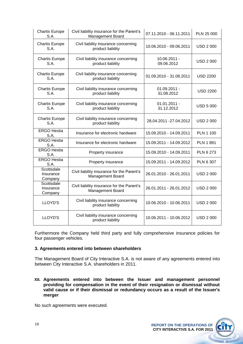| <b>Chartis Europe</b><br>S.A.      | Civil liability insurance for the Parent's<br><b>Management Board</b> | 07.11.2010 - 06.11.2011      | PLN 25 000       |
|------------------------------------|-----------------------------------------------------------------------|------------------------------|------------------|
| <b>Chartis Europe</b><br>S.A.      | Civil liability insurance concerning<br>product liability             | 10.06.2010 - 09.06.2011      | <b>USD 2 000</b> |
| <b>Chartis Europe</b><br>S.A.      | Civil liability insurance concerning<br>product liability             | 10.06.2011 -<br>09.06.2012   | <b>USD 2 000</b> |
| <b>Chartis Europe</b><br>S.A.      | Civil liability insurance concerning<br>product liability             | 01.09.2010 - 31.08.2011      | <b>USD 2200</b>  |
| <b>Chartis Europe</b><br>S.A.      | Civil liability insurance concerning<br>product liability             | $01.09.2011 -$<br>31.08.2012 | <b>USD 2200</b>  |
| <b>Chartis Europe</b><br>S.A.      | Civil liability insurance concerning<br>product liability             | $01.01.2011 -$<br>31.12.2012 | <b>USD 5 000</b> |
| <b>Chartis Europe</b><br>S.A.      | Civil liability insurance concerning<br>product liability             | 28.04.2011 - 27.04.2012      | <b>USD 2 000</b> |
| <b>ERGO Hestia</b><br>S.A.         | Insurance for electronic hardware                                     | 15.09.2010 - 14.09.2011      | <b>PLN 1 100</b> |
| <b>ERGO Hestia</b><br>S.A.         | Insurance for electronic hardware                                     | 15.09.2011 - 14.09.2012      | <b>PLN 1 891</b> |
| <b>ERGO Hestia</b><br>S.A.         | Property insurance                                                    | 15.09.2010 - 14.09.2011      | <b>PLN 6 273</b> |
| <b>ERGO Hestia</b><br>S.A.         | Property insurance                                                    | 15.09.2011 - 14.09.2012      | PLN 6 307        |
| Scottsdale<br>Insurance<br>Company | Civil liability insurance for the Parent's<br><b>Management Board</b> | 26.01.2010 - 26.01.2011      | <b>USD 2 000</b> |
| Scottsdale<br>Insurance<br>Company | Civil liability insurance for the Parent's<br><b>Management Board</b> | 26.01.2011 - 26.01.2012      | <b>USD 2 000</b> |
| LLOYD'S                            | Civil liability insurance concerning<br>product liability             | 10.06.2010 - 10.06.2011      | <b>USD 2 000</b> |
| LLOYD'S                            | Civil liability insurance concerning<br>product liability             | 10.06.2011 - 10.06.2012      | <b>USD 2 000</b> |

Furthermore the Company held third party and fully comprehensive insurance policies for four passenger vehicles.

#### **3. Agreements entered into between shareholders**

The Management Board of City Interactive S.A. is not aware of any agreements entered into between City Interactive S.A. shareholders in 2011.

**XII. Agreements entered into between the Issuer and management personnel providing for compensation in the event of their resignation or dismissal without valid cause or if their dismissal or redundancy occurs as a result of the Issuer's merger**

No such agreements were executed.

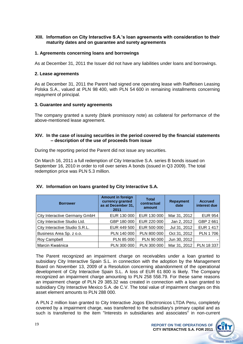#### **XIII. Information on City Interactive S.A.'s loan agreements with consideration to their maturity dates and on guarantee and surety agreements**

#### **1. Agreements concerning loans and borrowings**

As at December 31, 2011 the Issuer did not have any liabilities under loans and borrowings.

#### **2. Lease agreements**

As at December 31, 2011 the Parent had signed one operating lease with Raiffeisen Leasing Polska S.A., valued at PLN 98 400, with PLN 54 600 in remaining installments concerning repayment of principal.

#### **3. Guarantee and surety agreements**

The company granted a surety (blank promissory note) as collateral for performance of the above-mentioned lease agreement.

#### **XIV. In the case of issuing securities in the period covered by the financial statements – description of the use of proceeds from issue**

During the reporting period the Parent did not issue any securities.

On March 16, 2011 a full redemption of City Interactive S.A. series B bonds issued on September 16, 2010 in order to roll over series A bonds (issued in Q3 2009). The total redemption price was PLN 5.3 million.

| <b>Borrower</b>                | <b>Amount in foreign</b><br>currency granted<br>as at December 31,<br>2011 | <b>Total</b><br>contractual<br>amount | <b>Repayment</b><br>date | <b>Accrued</b><br>interest due |
|--------------------------------|----------------------------------------------------------------------------|---------------------------------------|--------------------------|--------------------------------|
| City Interactive Germany GmbH  | EUR 130 000                                                                | EUR 130 000                           | Mar 31, 2012             | <b>EUR 954</b>                 |
| City Interactive Studio Ltd.   | GBP 180 000                                                                | EUR 220 000                           | Jan 2, 2012              | GBP 2 661                      |
| City Interactive Studio S.R.L. | EUR 449 500                                                                | EUR 500 000                           | Jul 31, 2012             | <b>EUR 1 417</b>               |
| Business Area Sp. z o.o.       | PLN 140 000                                                                | PLN 800 000                           | Oct 31, 2012             | <b>PLN 1706</b>                |
| Roy Campbell                   | PLN 85 000                                                                 | PLN 90 000                            | Jun 30, 2012             |                                |
| Marcin Kwaśnica                | PLN 300 000                                                                | PLN 300 000                           | Mar 31, 2012             | PLN 18 337                     |

## **XV. Information on loans granted by City Interactive S.A.**

The Parent recognized an impairment charge on receivables under a loan granted to subsidiary City Interactive Spain S.L. in connection with the adoption by the Management Board on November 13, 2009 of a Resolution concerning abandonment of the operational development of City Interactive Spain S.L. A loss of EUR 61 800 is likely. The Company recognized an impairment charge amounting to PLN 258 558.79. For these same reasons an impairment charge of PLN 29 385.32 was created in connection with a loan granted to subsidiary City Interactive Mexico S.A. de C.V. The total value of impairment charges on this asset element amounts to PLN 288 000.

A PLN 2 million loan granted to City Interactive Jogos Electrronicos LTDA Peru, completely covered by a impairment charge, was transferred to the subsidiary's primary capital and as such is transferred to the item "Interests in subsidiaries and associates" in non-current

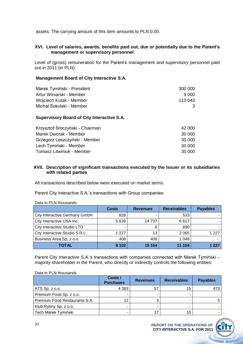assets. The carrying amount of this item amounts to PLN 0.00.

#### **XVI. Level of salaries, awards, benefits paid out, due or potentially due to the Parent's management or supervisory personnel**

Level of (gross) remuneration for the Parent's management and supervisory personnel paid out in 2011 (in PLN):

#### **Management Board of City Interactive S.A.**

| Marek Tymiński - President | 300 000 |
|----------------------------|---------|
| Artur Winiarski - Member   | 9.000   |
| Wojciech Kutak - Member    | 113 043 |
| Michał Sokolski - Member   | 3       |

#### **Supervisory Board of City Interactive S.A.**

| Krzysztof Sroczyński - Chairman  | 42 000 |
|----------------------------------|--------|
| Marek Dworak - Member            | 30 000 |
| Grzegorz Leszczyński - Member    | 30 000 |
| Lech Tymiński - Member           | 30 000 |
| <b>Tomasz Litwiniuk - Member</b> | 30 000 |

#### **XVII. Description of significant transactions executed by the Issuer or its subsidiaries with related parties**

All transactions described below were executed on market terms.

Parent City Interactive S.A.'s transactions with Group companies:

|                                | <b>Costs</b> | <b>Revenues</b> | <b>Receivables</b> | <b>Payables</b> |
|--------------------------------|--------------|-----------------|--------------------|-----------------|
| City Interactive Germany GmbH  | 828          |                 | 533                |                 |
| City Interactive USA Inc.      | 5 6 3 9      | 14 7 37         | 6617               |                 |
| City Interactive Studio LTD    | -            | 6               | 890                |                 |
| City Interactive Studio S.R.L. | 1 2 2 7      | 13              | 2 0 6 5            | 1227            |
| Business Area Sp. z o.o.       | 408          | 408             | 1 0 4 8            |                 |
| <b>TOTAL</b>                   | 8 1 0 2      | 15 164          | 11 154             | 1 227           |

Data in PLN thousands

Parent City Interactive S.A.'s transactions with companies connected with Marek Tymiński – majority shareholder in the Parent, who directly or indirectly controls the following entities:

#### Data in PLN thousands

|                               | Costs /<br><b>Purchases</b> | <b>Revenues</b> | <b>Receivables</b> | <b>Payables</b> |
|-------------------------------|-----------------------------|-----------------|--------------------|-----------------|
| ATS Sp. z o.o.                | 4 3 8 3                     | 57              | 15                 | 473             |
| Premium Food Sp. z o.o.       |                             |                 | -                  |                 |
| Premium Food Restaurants S.A. | 12                          |                 |                    |                 |
| Klub Rybny Sp. z o.o.         |                             |                 |                    |                 |
| Tech Marek Tymiński           |                             |                 | 15                 |                 |

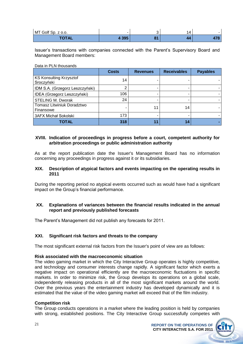| MT Golf Sp. z o.o. |     |              |  |
|--------------------|-----|--------------|--|
| <b>TOTAL</b>       | 20E | $\mathbf{O}$ |  |

Issuer's transactions with companies connected with the Parent's Supervisory Board and Management Board members:

Data in PLN thousands

|                                         | <b>Costs</b> | <b>Revenues</b> | <b>Receivables</b> | <b>Payables</b> |
|-----------------------------------------|--------------|-----------------|--------------------|-----------------|
| KS Konsulting Krzysztof<br>Sroczyński   | 14           |                 |                    |                 |
| IDM S.A. (Grzegorz Leszczyński)         | ◠            |                 |                    |                 |
| IDEA (Grzegorz Leszczyński)             | 106          |                 |                    |                 |
| <b>STELING M. Dworak</b>                | 24           |                 |                    |                 |
| Tomasz Litwiniuk Doradztwo<br>Finansowe |              | 11              | 14                 |                 |
| 3AFX Michał Sokolski                    | 173          |                 |                    |                 |
| <b>TOTAL</b>                            | 318          | 11              | 14                 |                 |

#### **XVIII. Indication of proceedings in progress before a court, competent authority for arbitration proceedings or public administration authority**

As at the report publication date the Issuer's Management Board has no information concerning any proceedings in progress against it or its subsidiaries.

#### **XIX. Description of atypical factors and events impacting on the operating results in 2011**

During the reporting period no atypical events occurred such as would have had a significant impact on the Group's financial performance.

#### **XX. Explanations of variances between the financial results indicated in the annual report and previously published forecasts**

The Parent's Management did not publish any forecasts for 2011.

#### **XXI. Significant risk factors and threats to the company**

The most significant external risk factors from the Issuer's point of view are as follows:

#### **Risk associated with the macroeconomic situation**

The video gaming market in which the City Interactive Group operates is highly competitive, and technology and consumer interests change rapidly. A significant factor which exerts a negative impact on operational efficiently are the macroeconomic fluctuations in specific markets. In order to minimize risk, the Group develops its operations on a global scale, independently releasing products in all of the most significant markets around the world. Over the previous years the entertainment industry has developed dynamically and it is estimated that the value of the video gaming market will exceed that of the film industry.

#### **Competition risk**

The Group conducts operations in a market where the leading position is held by companies with strong, established positions. The City Interactive Group successfully competes with

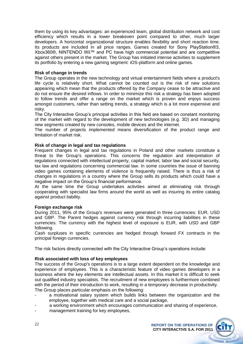them by using its key advantages: an experienced team, global distribution network and cost efficiency which results in a lower breakeven point compared to other, much larger developers. A horizontal organizational structure enables flexibility and short reaction time. Its products are included in all price ranges. Games created for Sony PlayStation®3, Xbox360®, NINTENDO Wii™ and PC have high commercial potential and are competitive against others present in the market. The Group has initiated intense activities to supplement its portfolio by entering a new gaming segment: iOS-platform and online games.

#### **Risk of change in trends**

The Group operates in the new technology and virtual entertainment fields where a product's life cycle is relatively short. What cannot be counted out is the risk of new solutions appearing which mean that the products offered by the Company cease to be attractive and do not ensure the desired inflows. In order to minimize this risk a strategy has been adopted to follow trends and offer a range on the market which is proven and enjoys success amongst customers, rather than setting trends, a strategy which is a lot more expensive and risky.

The City Interactive Group's principal activities in this field are based on constant monitoring of the market with regard to the development of new technologies (e.g. 3D) and managing new segments created by new consoles, mobile devices and the internet.

The number of projects implemented means diversification of the product range and limitation of market risk.

#### **Risk of change in legal and tax regulations**

Frequent changes in legal and tax regulations in Poland and other markets constitute a threat to the Group's operations. This concerns the regulation and interpretation of regulations connected with intellectual property, capital market, labor law and social security, tax law and regulations concerning commercial law. In some countries the issue of banning video games containing elements of violence is frequently raised. There is thus a risk of changes in regulations in a country where the Group sells its products which could have a negative impact on the Group's financial performance.

At the same time the Group undertakes activities aimed at eliminating risk through cooperating with specialist law firms around the world as well as insuring its entire catalog against product liability.

#### **Foreign exchange risk**

During 2011, 95% of the Group's revenues were generated in three currencies: EUR, USD and GBP. The Parent hedges against currency risk through incurring liabilities in these currencies. The currency with the highest level of exposure is EUR, with USD and GBP following.

Cash surpluses in specific currencies are hedged through forward FX contracts in the principal foreign currencies.

The risk factors directly connected with the City Interactive Group's operations include:

#### **Risk associated with loss of key employees**

The success of the Group's operations is to a large extent dependent on the knowledge and experience of employees. This is a characteristic feature of video games developers in a business where the key elements are intellectual assets. In this market it is difficult to seek out qualified industry specialists. The recruitment of new employees is furthermore combined with the period of their introduction to work, resulting in a temporary decrease in productivity. The Group places particular emphasis on the following:

- a motivational salary system which builds links between the organization and the employee, together with medical care and a social package,
- a working environment which encourages communication and sharing of experience,
- management training for key employees,

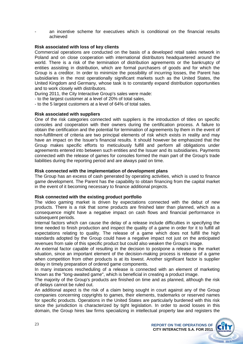an incentive scheme for executives which is conditional on the financial results achieved

#### **Risk associated with loss of key clients**

Commercial operations are conducted on the basis of a developed retail sales network in Poland and on close cooperation with international distributors headquartered around the world. There is a risk of the termination of distribution agreements or the bankruptcy of entities assisting in distribution, which are formal purchasers of goods and for which the Group is a creditor. In order to minimize the possibility of incurring losses, the Parent has subsidiaries in the most operationally significant markets such as the United States, the United Kingdom and Germany, whose task is to constantly expand distribution opportunities and to work closely with distributors.

During 2011, the City Interactive Group's sales were made:

- to the largest customer at a level of 20% of total sales,

- to the 5 largest customers at a level of 64% of total sales.

#### **Risk associated with suppliers**

One of the risk categories connected with suppliers is the introduction of titles on specific consoles and cooperation with their owners during the certification process. A failure to obtain the certification and the potential for termination of agreements by them in the event of non-fulfillment of criteria are two principal elements of risk which exists in reality and may have an impact on the Issuer's financial results. It should however be emphasized that the Group makes specific efforts to meticulously fulfill and perform all obligations under agreements entered into between such entities and the Issuer and its subsidiaries. Payments connected with the release of games for consoles formed the main part of the Group's trade liabilities during the reporting period and are always paid on time.

#### **Risk connected with the implementation of development plans**

The Group has an excess of cash generated by operating activities, which is used to finance game development. The Parent has the capability to obtain financing from the capital market in the event of it becoming necessary to finance additional projects.

#### **Risk connected with the existing product portfolio**

The video gaming market is driven by expectations connected with the debut of new products. There is a risk that some products are finished later than planned, which as a consequence might have a negative impact on cash flows and financial performance in subsequent periods.

Internal factors which can cause the delay of a release include difficulties in specifying the time needed to finish production and inspect the quality of a game in order for it to fulfill all expectations relating to quality. The release of a game which does not fulfill the high standards adopted by the Group could have a negative impact not just on the anticipated revenues from sale of this specific product but could also weaken the Group's image.

An external factor capable of resulting in the decision to postpone a release is the market situation, since an important element of the decision-making process is release of a game when competition from other products is at its lowest. Another significant factor is supplier delay in timely preparation of ordered game components.

In many instances rescheduling of a release is connected with an element of marketing known as the "long-awaited game", which is beneficial in creating a product image.

The majority of the Group's products are finished on time and as planned, although the risk of delays cannot be ruled out.

An additional aspect is the risk of a claim being sought in court against any of the Group companies concerning copyrights to games, their elements, trademarks or reserved names for specific products. Operations in the United States are particularly burdened with this risk since the jurisdiction is characterized by tight legislation. In order to avoid losses in this domain, the Group hires law firms specializing in intellectual property law and registers the



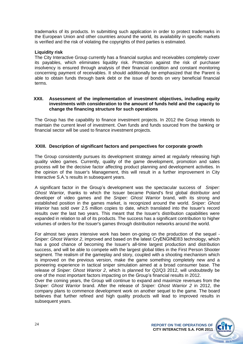trademarks of its products. In submitting such application in order to protect trademarks in the European Union and other countries around the world, its availability in specific markets is verified and the risk of violating the copyrights of third parties is estimated.

#### **Liquidity risk**

The City Interactive Group currently has a financial surplus and receivables completely cover its payables, which eliminates liquidity risk. Protection against the risk of purchaser insolvency is ensured through analysis of their financial condition and constant monitoring concerning payment of receivables. It should additionally be emphasized that the Parent is able to obtain funds through bank debt or the issue of bonds on very beneficial financial terms.

#### **XXII. Assessment of the implementation of investment objectives, including equity investments with consideration to the amount of funds held and the capacity to change the financing structure for such operations**

The Group has the capability to finance investment projects. In 2012 the Group intends to maintain the current level of investment. Own funds and funds sourced from the banking or financial sector will be used to finance investment projects.

#### **XXIII. Description of significant factors and perspectives for corporate growth**

The Group consistently pursues its development strategy aimed at regularly releasing high quality video games. Currently, quality of the game development, promotion and sales process will be the decisive factor affecting product planning and development activities. In the opinion of the Issuer's Management, this will result in a further improvement in City Interactive S.A.'s results in subsequent years.

A significant factor in the Group's development was the spectacular success of *Sniper: Ghost Warrior,* thanks to which the Issuer became Poland's first global distributor and developer of video games and the *Sniper: Ghost Warrior* brand, with its strong and established position in the games market, is recognized around the world. *Sniper: Ghost Warrior* has sold over 2.5 million copies to date, which translated into the Issuer's record results over the last two years. This meant that the Issuer's distribution capabilities were expanded in relation to all of its products. The success has a significant contribution to higher volumes of orders for the Issuer's games through distribution networks around the world.

For almost two years intensive work has been on-going on the production of the sequel - *Sniper: Ghost Warrior 2*, improved and based on the latest CryENGINE®3 technology, which has a good chance of becoming the Issuer's all-time largest production and distribution success, and will be able to compete with the largest global titles in the First Person Shooter segment. The realism of the gameplay and story, coupled with a shooting mechanism which is improved on the previous version, make the game something completely new and a pioneering experience in tactical sniper simulation aimed at a broad consumer base. The release of *Sniper: Ghost Warrior 2*, which is planned for Q2/Q3 2012, will undoubtedly be one of the most important factors impacting on the Group's financial results in 2012.

Over the coming years, the Group will continue to expand and maximize revenues from the *Sniper: Ghost Warrior* brand. After the release of *Sniper: Ghost Warrior 2* in 2012, the company plans to commence development work on another sequel to the game. The board believes that further refined and high quality products will lead to improved results in subsequent years.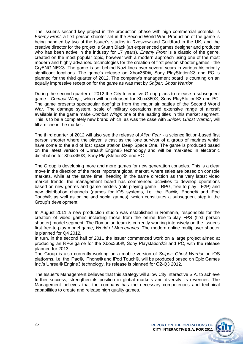The Issuer's second key project in the production phase with high commercial potential is *Enemy Front*, a first person shooter set in the Second World War. Production of the game is being handled by two of the Issuer's studios in Rzeszow and Guildford in the UK, and the creative director for the project is Stuart Black (an experienced games designer and producer who has been active in the industry for 17 years). *Enemy Front* is a classic of the genre, created on the most popular topic, however with a modern approach using one of the most modern and highly advanced technologies for the creation of first person shooter games - the CryENGINE®3. The game is set behind Nazi lines over several years in various historically significant locations. The game's release on Xbox360®, Sony PlayStation®3 and PC is planned for the third quarter of 2012. The company's management board is counting on an equally impressive reception for the game as was met by *Sniper: Ghost Warrior*.

During the second quarter of 2012 the City Interactive Group plans to release a subsequent game - *Combat Wings*, which will be released for Xbox360®, Sony PlayStation®3 and PC. The game presents spectacular dogfights from the major air battles of the Second World War. The damage system, scale of military operations and extensive range of aircraft available in the game make *Combat Wings* one of the leading titles in this market segment. This is to be a completely new brand which, as was the case with *Sniper: Ghost Warrior*, will fill a niche in the market.

The third quarter of 2012 will also see the release of *Alien Fear* - a science fiction-based first person shooter where the player is cast as the lone survivor of a group of marines which have come to the aid of lost space station Deep Space One. The game is produced based on the latest version of Unreal® Engine3 technology and will be marketed in electronic distribution for Xbox360®, Sony PlayStation®3 and PC.

The Group is developing more and more games for new generation consoles. This is a clear move in the direction of the most important global market, where sales are based on console markets, while at the same time, heading in the same direction as the very latest video market trends, the management board has commenced activities to develop operations based on new genres and game models (role-playing game - RPG, free-to-play - F2P) and new distribution channels (games for iOS systems, i.e. the iPad®, iPhone® and iPod Touch®, as well as online and social games), which constitutes a subsequent step in the Group's development.

In August 2011 a new production studio was established in Romania, responsible for the creation of video games including those from the online free-to-play FPS (first person shooter) model segment. The Romanian team is currently working intensively on the Issuer's first free-to-play model game, *World of Mercenaries*. The modern online multiplayer shooter is planned for Q4 2012.

In turn, in the second half of 2011 the Issuer commenced work on a large project aimed at producing an RPG game for the Xbox360®, Sony Playstation®3 and PC, with the release planned for 2013.

The Group is also currently working on a mobile version of *Sniper: Ghost Warrior* on iOS platforms, i.e. the iPad®, iPhone® and iPod Touch®, will be produced based on Epic Games Inc.'s Unreal® Engine3 technology. Its release is planned for Q2-Q3 2012.

The Issuer's Management believes that this strategy will allow City Interactive S.A. to achieve further success, strengthen its position in global markets and diversify its revenues. The Management believes that the company has the necessary competences and technical capabilities to create and release high quality games.